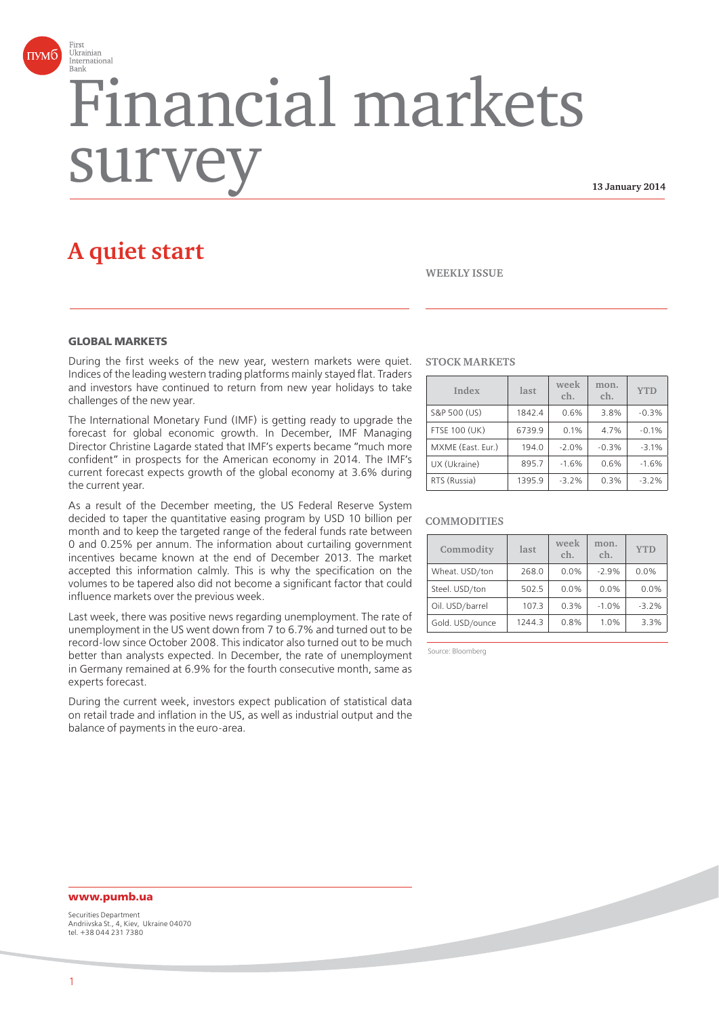

# Financial markets surv

**13 January 2014**

# **A quiet start**

#### **WEEKLY ISSUE**

### **GLOBAL MARKETS**

During the first weeks of the new year, western markets were quiet. Indices of the leading western trading platforms mainly stayed flat. Traders and investors have continued to return from new year holidays to take challenges of the new year.

The International Monetary Fund (IMF) is getting ready to upgrade the forecast for global economic growth. In December, IMF Managing Director Christine Lagarde stated that IMF's experts became "much more confident" in prospects for the American economy in 2014. The IMF's current forecast expects growth of the global economy at 3.6% during the current year.

As a result of the December meeting, the US Federal Reserve System decided to taper the quantitative easing program by USD 10 billion per month and to keep the targeted range of the federal funds rate between 0 and 0.25% per annum. The information about curtailing government incentives became known at the end of December 2013. The market accepted this information calmly. This is why the specification on the volumes to be tapered also did not become a significant factor that could influence markets over the previous week.

Last week, there was positive news regarding unemployment. The rate of unemployment in the US went down from 7 to 6.7% and turned out to be record-low since October 2008. This indicator also turned out to be much better than analysts expected. In December, the rate of unemployment in Germany remained at 6.9% for the fourth consecutive month, same as experts forecast.

During the current week, investors expect publication of statistical data on retail trade and inflation in the US, as well as industrial output and the balance of payments in the euro-area.

#### **STOCK MARKETS**

| Index                | last   | week<br>ch. | mon.<br>ch. | <b>YTD</b> |
|----------------------|--------|-------------|-------------|------------|
| S&P 500 (US)         | 1842.4 | 0.6%        | 3.8%        | $-0.3%$    |
| <b>FTSE 100 (UK)</b> | 6739.9 | 0.1%        | 4.7%        | $-0.1%$    |
| MXME (East. Eur.)    | 194.0  | $-2.0%$     | $-0.3%$     | $-3.1%$    |
| UX (Ukraine)         | 895.7  | $-1.6%$     | 0.6%        | $-1.6%$    |
| RTS (Russia)         | 1395.9 | $-3.2%$     | 0.3%        | $-3.2%$    |

#### **COMMODITIES**

| Commodity       | last   | week<br>ch. | mon.<br>ch. | <b>YTD</b> |
|-----------------|--------|-------------|-------------|------------|
| Wheat. USD/ton  | 268.0  | 0.0%        | $-2.9%$     | 0.0%       |
| Steel. USD/ton  | 502.5  | 0.0%        | 0.0%        | 0.0%       |
| Oil. USD/barrel | 107.3  | 0.3%        | $-1.0%$     | $-3.2%$    |
| Gold. USD/ounce | 1244.3 | 0.8%        | 1.0%        | 3.3%       |

Source: Bloomberg

# **www.pumb.ua**

Securities Department Andriivska St., 4, Kiev, Ukraine 04070 tel. +38 044 231 7380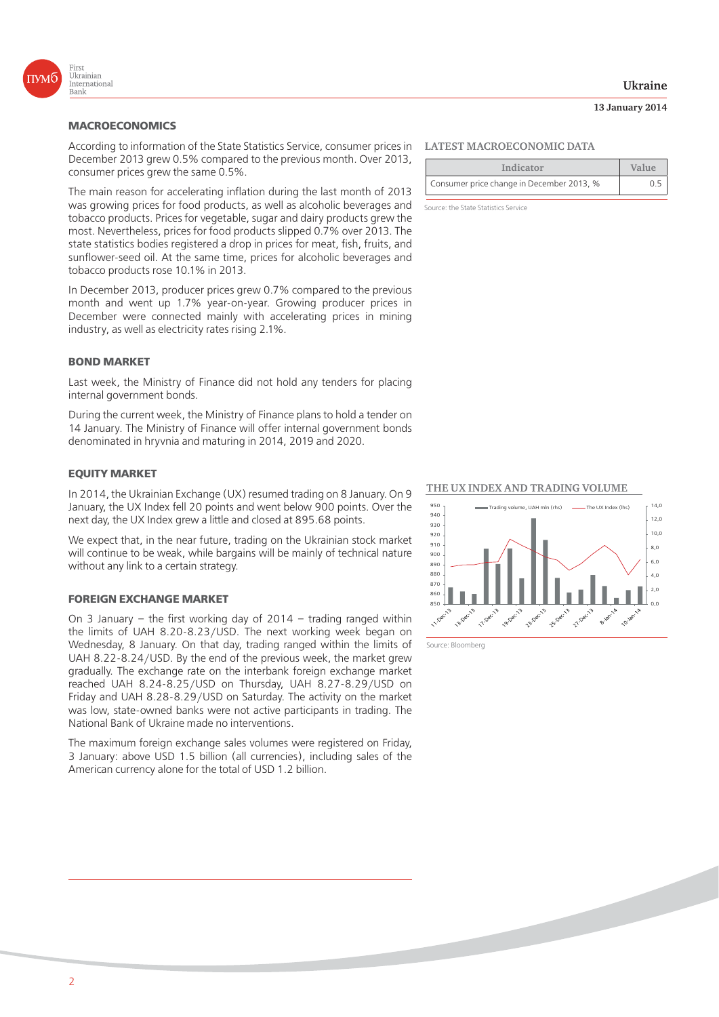

## **MACROECONOMICS**

According to information of the State Statistics Service, consumer prices in December 2013 grew 0.5% compared to the previous month. Over 2013, consumer prices grew the same 0.5%.

The main reason for accelerating inflation during the last month of 2013 was growing prices for food products, as well as alcoholic beverages and tobacco products. Prices for vegetable, sugar and dairy products grew the most. Nevertheless, prices for food products slipped 0.7% over 2013. The state statistics bodies registered a drop in prices for meat, fish, fruits, and sunflower-seed oil. At the same time, prices for alcoholic beverages and tobacco products rose 10.1% in 2013.

In December 2013, producer prices grew 0.7% compared to the previous month and went up 1.7% year-on-year. Growing producer prices in December were connected mainly with accelerating prices in mining industry, as well as electricity rates rising 2.1%.

#### **BOND MARKET**

Last week, the Ministry of Finance did not hold any tenders for placing internal government bonds.

During the current week, the Ministry of Finance plans to hold a tender on 14 January. The Ministry of Finance will offer internal government bonds denominated in hryvnia and maturing in 2014, 2019 and 2020.

#### **EQUITY MARKET**

In 2014, the Ukrainian Exchange (UX) resumed trading on 8 January. On 9 January, the UX Index fell 20 points and went below 900 points. Over the next day, the UX Index grew a little and closed at 895.68 points.

We expect that, in the near future, trading on the Ukrainian stock market will continue to be weak, while bargains will be mainly of technical nature without any link to a certain strategy.

#### **FOREIGN EXCHANGE MARKET**

On 3 January – the first working day of 2014 – trading ranged within the limits of UAH 8.20-8.23/USD. The next working week began on Wednesday, 8 January. On that day, trading ranged within the limits of UAH 8.22-8.24/USD. By the end of the previous week, the market grew gradually. The exchange rate on the interbank foreign exchange market reached UAH 8.24-8.25/USD on Thursday, UAH 8.27-8.29/USD on Friday and UAH 8.28-8.29/USD on Saturday. The activity on the market was low, state-owned banks were not active participants in trading. The National Bank of Ukraine made no interventions.

The maximum foreign exchange sales volumes were registered on Friday, 3 January: above USD 1.5 billion (all currencies), including sales of the American currency alone for the total of USD 1.2 billion.

#### **LATEST MACROECONOMIC DATA**

| Indicator                                 | Value |
|-------------------------------------------|-------|
| Consumer price change in December 2013, % |       |

Source: the State Statistics Service

**THE UX INDEX AND TRADING VOLUME** 



Source: Bloomberg

#### **Ukraine**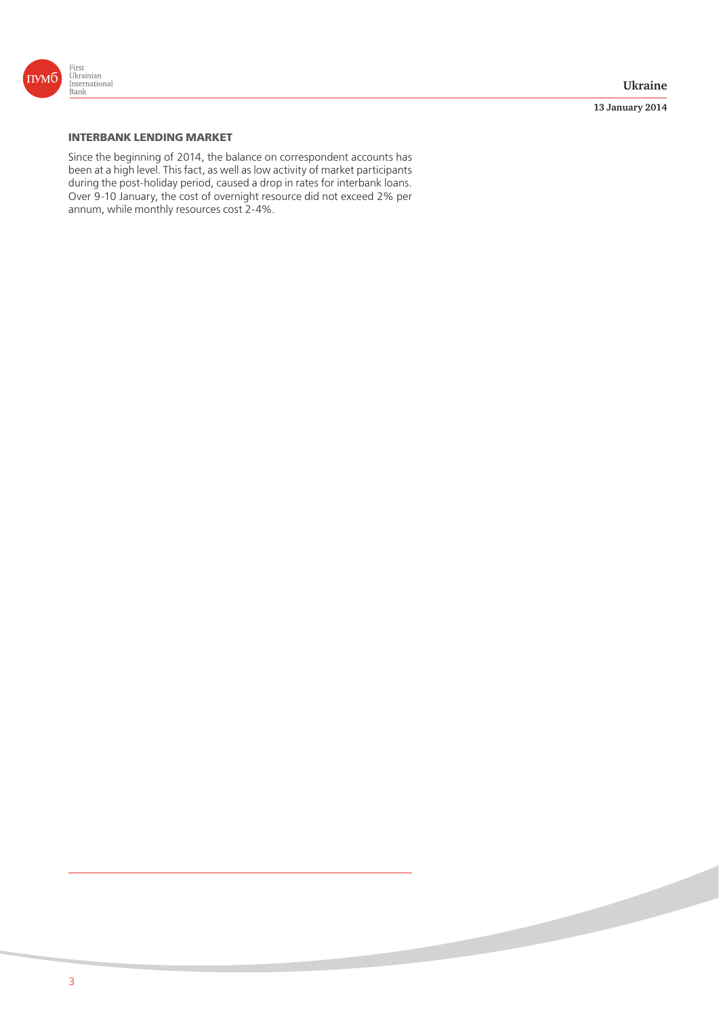

**13 January 2014**

# **INTERBANK LENDING MARKET**

Since the beginning of 2014, the balance on correspondent accounts has been at a high level. This fact, as well as low activity of market participants during the post-holiday period, caused a drop in rates for interbank loans. Over 9-10 January, the cost of overnight resource did not exceed 2% per annum, while monthly resources cost 2-4%.